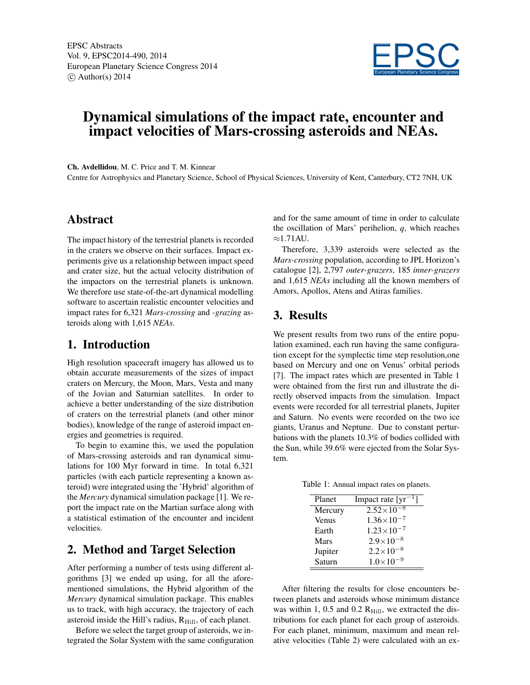

# Dynamical simulations of the impact rate, encounter and impact velocities of Mars-crossing asteroids and NEAs.

Ch. Avdellidou, M. C. Price and T. M. Kinnear

Centre for Astrophysics and Planetary Science, School of Physical Sciences, University of Kent, Canterbury, CT2 7NH, UK

#### Abstract

The impact history of the terrestrial planets is recorded in the craters we observe on their surfaces. Impact experiments give us a relationship between impact speed and crater size, but the actual velocity distribution of the impactors on the terrestrial planets is unknown. We therefore use state-of-the-art dynamical modelling software to ascertain realistic encounter velocities and impact rates for 6,321 *Mars-crossing* and *-grazing* asteroids along with 1,615 *NEAs*.

#### 1. Introduction

High resolution spacecraft imagery has allowed us to obtain accurate measurements of the sizes of impact craters on Mercury, the Moon, Mars, Vesta and many of the Jovian and Saturnian satellites. In order to achieve a better understanding of the size distribution of craters on the terrestrial planets (and other minor bodies), knowledge of the range of asteroid impact energies and geometries is required.

To begin to examine this, we used the population of Mars-crossing asteroids and ran dynamical simulations for 100 Myr forward in time. In total 6,321 particles (with each particle representing a known asteroid) were integrated using the 'Hybrid' algorithm of the *Mercury* dynamical simulation package [1]. We report the impact rate on the Martian surface along with a statistical estimation of the encounter and incident velocities.

#### 2. Method and Target Selection

After performing a number of tests using different algorithms [3] we ended up using, for all the aforementioned simulations, the Hybrid algorithm of the *Mercury* dynamical simulation package. This enables us to track, with high accuracy, the trajectory of each asteroid inside the Hill's radius,  $R_{\text{Hill}}$ , of each planet.

Before we select the target group of asteroids, we integrated the Solar System with the same configuration and for the same amount of time in order to calculate the oscillation of Mars' perihelion, *q*, which reaches  $\approx$ 1.71AU.

Therefore, 3,339 asteroids were selected as the *Mars-crossing* population, according to JPL Horizon's catalogue [2], 2,797 *outer-grazers*, 185 *inner-grazers* and 1,615 *NEAs* including all the known members of Amors, Apollos, Atens and Atiras families.

### 3. Results

We present results from two runs of the entire population examined, each run having the same configuration except for the symplectic time step resolution,one based on Mercury and one on Venus' orbital periods [7]. The impact rates which are presented in Table 1 were obtained from the first run and illustrate the directly observed impacts from the simulation. Impact events were recorded for all terrestrial planets, Jupiter and Saturn. No events were recorded on the two ice giants, Uranus and Neptune. Due to constant perturbations with the planets 10.3% of bodies collided with the Sun, while 39.6% were ejected from the Solar System.

Table 1: Annual impact rates on planets.

| Planet       | Impact rate $[yr^{-1}]$ |  |  |
|--------------|-------------------------|--|--|
| Mercury      | $2.52\times10^{-8}$     |  |  |
| <b>Venus</b> | $1.36 \times 10^{-7}$   |  |  |
| Earth        | $1.23 \times 10^{-7}$   |  |  |
| <b>Mars</b>  | $2.9\times10^{-8}$      |  |  |
| Jupiter      | $2.2 \times 10^{-8}$    |  |  |
| Saturn       | $1.0\times10^{-9}$      |  |  |

After filtering the results for close encounters between planets and asteroids whose minimum distance was within 1, 0.5 and 0.2  $R<sub>Hill</sub>$ , we extracted the distributions for each planet for each group of asteroids. For each planet, minimum, maximum and mean relative velocities (Table 2) were calculated with an ex